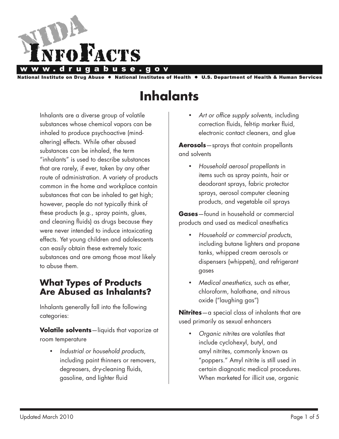

National Institute on Drug Abuse ● National Institutes of Health ● U.S. Department of Health & Human Services

# **Inhalants**

Inhalants are a diverse group of volatile substances whose chemical vapors can be inhaled to produce psychoactive (mindaltering) effects. While other abused substances can be inhaled, the term "inhalants" is used to describe substances that are rarely, if ever, taken by any other route of administration. A variety of products common in the home and workplace contain substances that can be inhaled to get high; however, people do not typically think of these products (e.g., spray paints, glues, and cleaning fluids) as drugs because they were never intended to induce intoxicating effects. Yet young children and adolescents can easily obtain these extremely toxic substances and are among those most likely to abuse them.

# **What Types of Products Are Abused as Inhalants?**

Inhalants generally fall into the following categories:

**Volatile solvents**—liquids that vaporize at room temperature

• *Industrial or household products*, including paint thinners or removers, degreasers, dry-cleaning fluids, gasoline, and lighter fluid

Art or office supply solvents, including correction fluids, felt-tip marker fluid, electronic contact cleaners, and glue

**Aerosols**—sprays that contain propellants and solvents

• *Household aerosol propellants* in items such as spray paints, hair or deodorant sprays, fabric protector sprays, aerosol computer cleaning products, and vegetable oil sprays

**Gases**—found in household or commercial products and used as medical anesthetics

- • *Household or commercial products*, including butane lighters and propane tanks, whipped cream aerosols or dispensers (whippets), and refrigerant gases
- *Medical anesthetics*, such as ether, chloroform, halothane, and nitrous oxide ("laughing gas")

**Nitrites**—a special class of inhalants that are used primarily as sexual enhancers

• *Organic nitrites* are volatiles that include cyclohexyl, butyl, and amyl nitrites, commonly known as "poppers." Amyl nitrite is still used in certain diagnostic medical procedures. When marketed for illicit use, organic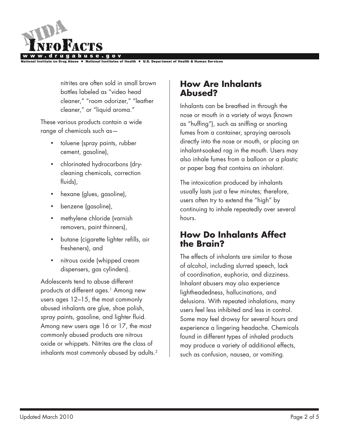

National Institutes of Health . U.S. Department of Health & Human Services

nitrites are often sold in small brown bottles labeled as "video head cleaner," "room odorizer," "leather cleaner," or "liquid aroma."

These various products contain a wide range of chemicals such as—

- toluene (spray paints, rubber cement, gasoline),
- chlorinated hydrocarbons (drycleaning chemicals, correction fluids),
- hexane (glues, gasoline),
- benzene (gasoline),
- methylene chloride (varnish removers, paint thinners),
- • butane (cigarette lighter refills, air fresheners), and
- nitrous oxide (whipped cream dispensers, gas cylinders).

Adolescents tend to abuse different products at different ages.<sup>1</sup> Among new users ages 12–15, the most commonly abused inhalants are glue, shoe polish, spray paints, gasoline, and lighter fluid. Among new users age 16 or 17, the most commonly abused products are nitrous oxide or whippets. Nitrites are the class of inhalants most commonly abused by adults.<sup>2</sup>

# **How Are Inhalants Abused?**

Inhalants can be breathed in through the nose or mouth in a variety of ways (known as "huffing"), such as sniffing or snorting fumes from a container, spraying aerosols directly into the nose or mouth, or placing an inhalant-soaked rag in the mouth. Users may also inhale fumes from a balloon or a plastic or paper bag that contains an inhalant.

The intoxication produced by inhalants usually lasts just a few minutes; therefore, users often try to extend the "high" by continuing to inhale repeatedly over several hours.

# **How Do Inhalants Affect the Brain?**

The effects of inhalants are similar to those of alcohol, including slurred speech, lack of coordination, euphoria, and dizziness. Inhalant abusers may also experience lightheadedness, hallucinations, and delusions. With repeated inhalations, many users feel less inhibited and less in control. Some may feel drowsy for several hours and experience a lingering headache. Chemicals found in different types of inhaled products may produce a variety of additional effects, such as confusion, nausea, or vomiting.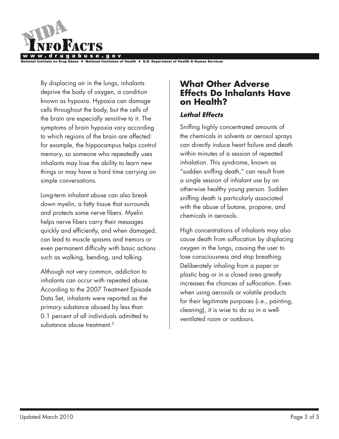

stitutes of Health ● U.S. Department of Health & Human Services

 $O<sub>y</sub>$ 

By displacing air in the lungs, inhalants deprive the body of oxygen, a condition known as hypoxia. Hypoxia can damage cells throughout the body, but the cells of the brain are especially sensitive to it. The symptoms of brain hypoxia vary according to which regions of the brain are affected: for example, the hippocampus helps control memory, so someone who repeatedly uses inhalants may lose the ability to learn new things or may have a hard time carrying on simple conversations.

Long-term inhalant abuse can also break down myelin, a fatty tissue that surrounds and protects some nerve fibers. Myelin helps nerve fibers carry their messages quickly and efficiently, and when damaged, can lead to muscle spasms and tremors or even permanent difficulty with basic actions such as walking, bending, and talking.

Although not very common, addiction to inhalants can occur with repeated abuse. According to the 2007 Treatment Episode Data Set, inhalants were reported as the *primary* substance abused by less than 0.1 percent of all individuals admitted to substance abuse treatment.<sup>3</sup>

## **What Other Adverse Effects Do Inhalants Have on Health?**

#### *Lethal Effects*

Sniffing highly concentrated amounts of the chemicals in solvents or aerosol sprays can directly induce heart failure and death within minutes of a session of repeated inhalation. This syndrome, known as "sudden sniffing death," can result from a single session of inhalant use by an otherwise healthy young person. Sudden sniffing death is particularly associated with the abuse of butane, propane, and chemicals in aerosols.

High concentrations of inhalants may also cause death from suffocation by displacing oxygen in the lungs, causing the user to lose consciousness and stop breathing. Deliberately inhaling from a paper or plastic bag or in a closed area greatly increases the chances of suffocation. Even when using aerosols or volatile products for their legitimate purposes (i.e., painting, cleaning), it is wise to do so in a wellventilated room or outdoors.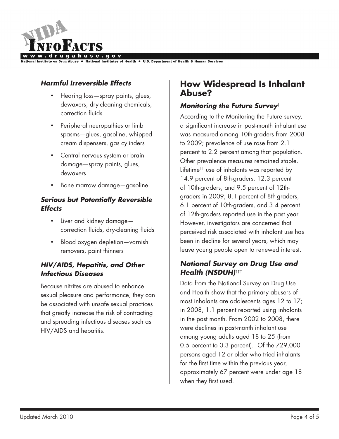

• National Institutes of Health • U.S. Department of Health & Human Services

### *Harmful Irreversible Effects*

- Hearing loss-spray paints, glues, dewaxers, dry-cleaning chemicals, correction fluids
- Peripheral neuropathies or limb spasms—glues, gasoline, whipped cream dispensers, gas cylinders
- • Central nervous system or brain damage—spray paints, glues, dewaxers
- Bone marrow damage—gasoline

#### *Serious but Potentially Reversible Effects*

- Liver and kidney damagecorrection fluids, dry-cleaning fluids
- Blood oxygen depletion—varnish removers, paint thinners

#### *HIV/AIDS, Hepatitis, and Other Infectious Diseases*

Because nitrites are abused to enhance sexual pleasure and performance, they can be associated with unsafe sexual practices that greatly increase the risk of contracting and spreading infectious diseases such as HIV/AIDS and hepatitis.

# **How Widespread Is Inhalant Abuse?**

#### *Monitoring the Future Survey*†

According to the Monitoring the Future survey, a significant increase in past-month inhalant use was measured among 10th-graders from 2008 to 2009; prevalence of use rose from 2.1 percent to 2.2 percent among that population. Other prevalence measures remained stable. Lifetime†† use of inhalants was reported by 14.9 percent of 8th-graders, 12.3 percent of 10th-graders, and 9.5 percent of 12thgraders in 2009; 8.1 percent of 8th-graders, 6.1 percent of 10th-graders, and 3.4 percent of 12th-graders reported use in the past year. However, investigators are concerned that perceived risk associated with inhalant use has been in decline for several years, which may leave young people open to renewed interest.

## *National Survey on Drug Use and Health (NSDUH)*†††

Data from the National Survey on Drug Use and Health show that the primary abusers of most inhalants are adolescents ages 12 to 17; in 2008, 1.1 percent reported using inhalants in the past month. From 2002 to 2008, there were declines in past-month inhalant use among young adults aged 18 to 25 (from 0.5 percent to 0.3 percent). Of the 729,000 persons aged 12 or older who tried inhalants for the first time within the previous year, approximately 67 percent were under age 18 when they first used.